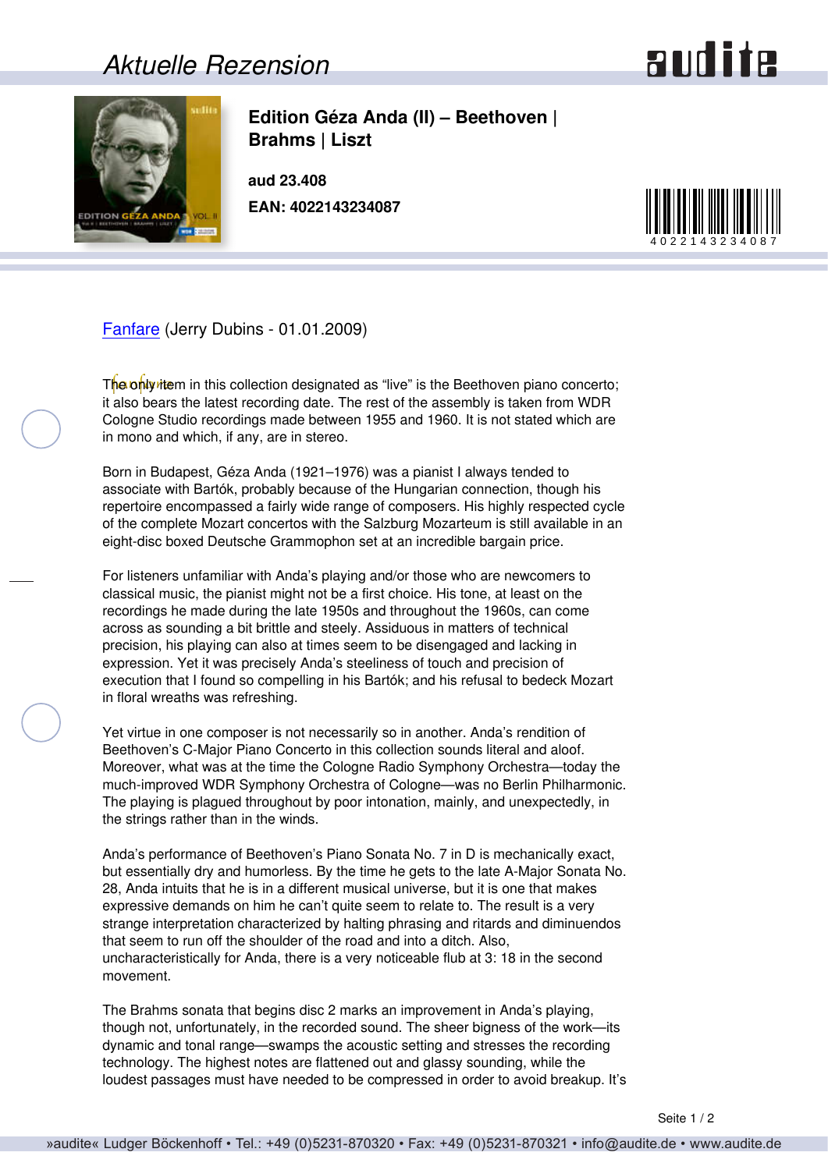## *Aktuelle Rezension*





**Edition Géza Anda (II) – Beethoven | Brahms | Liszt**

**aud 23.408 EAN: 4022143234087**



[Fanfare](http://www.fanfaremag.com/) (Jerry Dubins - 01.01.2009)

The only item in this collection designated as "live" is the Beethoven piano concerto; it also bears the latest recording date. The rest of the assembly is taken from WDR Cologne Studio recordings made between 1955 and 1960. It is not stated which are in mono and which, if any, are in stereo.

Born in Budapest, Géza Anda (1921–1976) was a pianist I always tended to associate with Bartók, probably because of the Hungarian connection, though his repertoire encompassed a fairly wide range of composers. His highly respected cycle of the complete Mozart concertos with the Salzburg Mozarteum is still available in an eight-disc boxed Deutsche Grammophon set at an incredible bargain price.

For listeners unfamiliar with Anda's playing and/or those who are newcomers to classical music, the pianist might not be a first choice. His tone, at least on the recordings he made during the late 1950s and throughout the 1960s, can come across as sounding a bit brittle and steely. Assiduous in matters of technical precision, his playing can also at times seem to be disengaged and lacking in expression. Yet it was precisely Anda's steeliness of touch and precision of execution that I found so compelling in his Bartók; and his refusal to bedeck Mozart in floral wreaths was refreshing.

Yet virtue in one composer is not necessarily so in another. Anda's rendition of Beethoven's C-Major Piano Concerto in this collection sounds literal and aloof. Moreover, what was at the time the Cologne Radio Symphony Orchestra—today the much-improved WDR Symphony Orchestra of Cologne—was no Berlin Philharmonic. The playing is plagued throughout by poor intonation, mainly, and unexpectedly, in the strings rather than in the winds.

Anda's performance of Beethoven's Piano Sonata No. 7 in D is mechanically exact, but essentially dry and humorless. By the time he gets to the late A-Major Sonata No. 28, Anda intuits that he is in a different musical universe, but it is one that makes expressive demands on him he can't quite seem to relate to. The result is a very strange interpretation characterized by halting phrasing and ritards and diminuendos that seem to run off the shoulder of the road and into a ditch. Also, uncharacteristically for Anda, there is a very noticeable flub at 3: 18 in the second movement.

The Brahms sonata that begins disc 2 marks an improvement in Anda's playing, though not, unfortunately, in the recorded sound. The sheer bigness of the work—its dynamic and tonal range—swamps the acoustic setting and stresses the recording technology. The highest notes are flattened out and glassy sounding, while the loudest passages must have needed to be compressed in order to avoid breakup. It's